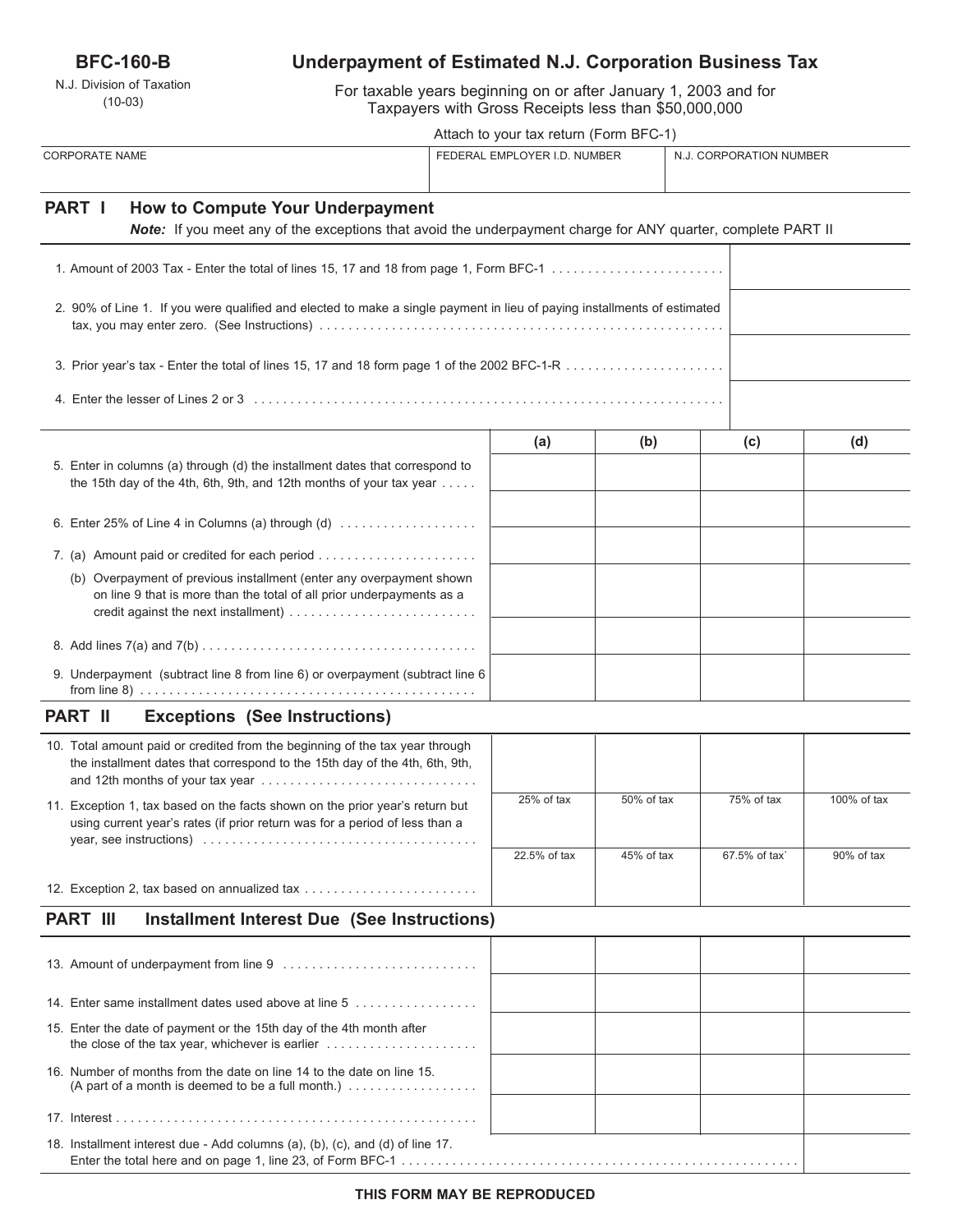## **BFC-160-B**

N.J. Division of Taxation (10-03)

# **Underpayment of Estimated N.J. Corporation Business Tax**

For taxable years beginning on or after January 1, 2003 and for Taxpayers with Gross Receipts less than \$50,000,000

| Attach to your tax return (Form BFC-1) |  |
|----------------------------------------|--|
|----------------------------------------|--|

|                                                                                                                                                                     |                              | Attach to your tax return (Form BFC-1) |            |                         |             |  |
|---------------------------------------------------------------------------------------------------------------------------------------------------------------------|------------------------------|----------------------------------------|------------|-------------------------|-------------|--|
| <b>CORPORATE NAME</b>                                                                                                                                               | FEDERAL EMPLOYER I.D. NUMBER |                                        |            | N.J. CORPORATION NUMBER |             |  |
| <b>PART I</b><br>How to Compute Your Underpayment<br>Note: If you meet any of the exceptions that avoid the underpayment charge for ANY quarter, complete PART II   |                              |                                        |            |                         |             |  |
| 1. Amount of 2003 Tax - Enter the total of lines 15, 17 and 18 from page 1, Form BFC-1                                                                              |                              |                                        |            |                         |             |  |
| 2. 90% of Line 1. If you were qualified and elected to make a single payment in lieu of paying installments of estimated                                            |                              |                                        |            |                         |             |  |
|                                                                                                                                                                     |                              |                                        |            |                         |             |  |
|                                                                                                                                                                     |                              |                                        |            |                         |             |  |
|                                                                                                                                                                     |                              | (a)                                    | (b)        | (c)                     | (d)         |  |
| 5. Enter in columns (a) through (d) the installment dates that correspond to<br>the 15th day of the 4th, 6th, 9th, and 12th months of your tax year                 |                              |                                        |            |                         |             |  |
| 6. Enter 25% of Line 4 in Columns (a) through $(d)$                                                                                                                 |                              |                                        |            |                         |             |  |
|                                                                                                                                                                     |                              |                                        |            |                         |             |  |
| (b) Overpayment of previous installment (enter any overpayment shown<br>on line 9 that is more than the total of all prior underpayments as a                       |                              |                                        |            |                         |             |  |
|                                                                                                                                                                     |                              |                                        |            |                         |             |  |
| 9. Underpayment (subtract line 8 from line 6) or overpayment (subtract line 6                                                                                       |                              |                                        |            |                         |             |  |
| <b>PART II</b><br><b>Exceptions (See Instructions)</b>                                                                                                              |                              |                                        |            |                         |             |  |
| 10. Total amount paid or credited from the beginning of the tax year through<br>the installment dates that correspond to the 15th day of the 4th, 6th, 9th,         |                              |                                        |            |                         |             |  |
| 11. Exception 1, tax based on the facts shown on the prior year's return but<br>using current year's rates (if prior return was for a period of less than a         |                              | 25% of tax                             | 50% of tax | 75% of tax              | 100% of tax |  |
|                                                                                                                                                                     |                              | 22.5% of tax                           | 45% of tax | 67.5% of tax`           | 90% of tax  |  |
| 12. Exception 2, tax based on annualized tax                                                                                                                        |                              |                                        |            |                         |             |  |
| <b>PART III</b><br><b>Installment Interest Due (See Instructions)</b>                                                                                               |                              |                                        |            |                         |             |  |
|                                                                                                                                                                     |                              |                                        |            |                         |             |  |
| 14. Enter same installment dates used above at line 5                                                                                                               |                              |                                        |            |                         |             |  |
| 15. Enter the date of payment or the 15th day of the 4th month after<br>the close of the tax year, whichever is earlier $\ldots \ldots \ldots \ldots \ldots \ldots$ |                              |                                        |            |                         |             |  |
| 16. Number of months from the date on line 14 to the date on line 15.<br>(A part of a month is deemed to be a full month.) $\ldots$                                 |                              |                                        |            |                         |             |  |
|                                                                                                                                                                     |                              |                                        |            |                         |             |  |

18. Installment interest due - Add columns (a), (b), (c), and (d) of line 17. Enter the total here and on page 1, line 23, of Form BFC-1 . . . . . . . . . . . . . . . . . . . . . . . . . . . . . . . . . . . . . . . . . . . . . . . . . . . . . . .